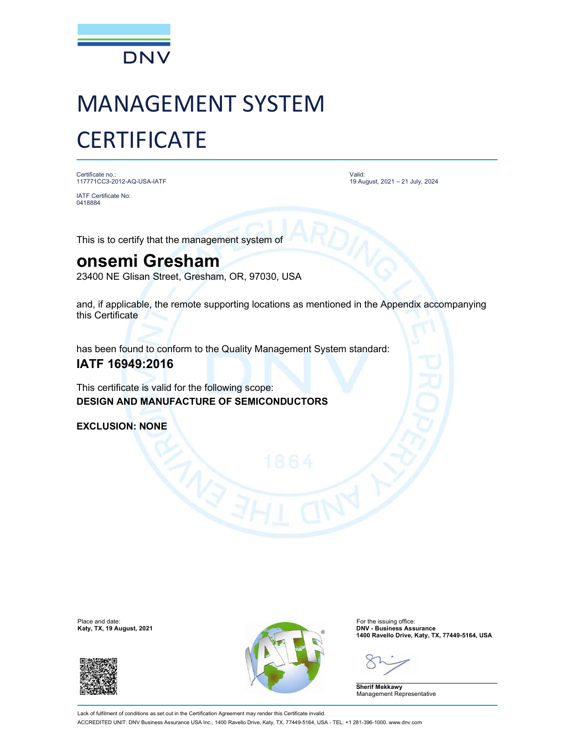

# MANAGEMENT SYSTEM **CERTIFICATE**

Certificate no.: 117771CC3-2012-AQ-USA-IATF

IATF Certificate No: 0418884

Valid: 19 August, 2021 – 21 July, 2024

This is to certify that the management system of

## onsemi Gresham

23400 NE Glisan Street, Gresham, OR, 97030, USA

and, if applicable, the remote supporting locations as mentioned in the Appendix accompanying this Certificate

has been found to conform to the Quality Management System standard:

### IATF 16949:2016

This certificate is valid for the following scope: DESIGN AND MANUFACTURE OF SEMICONDUCTORS

EXCLUSION: NONE

Katy, TX, 19 August, 2021





1400 Ravello Drive, Katy, TX, 77449-5164, USA

Sherif Mekkawy Management Representative

Lack of fulfilment of conditions as set out in the Certification Agreement may render this Certificate invalid. ACCREDITED UNIT: DNV Business Assurance USA Inc., 1400 Ravello Drive, Katy, TX, 77449-5164, USA - TEL: +1 281-396-1000. www.dnv.com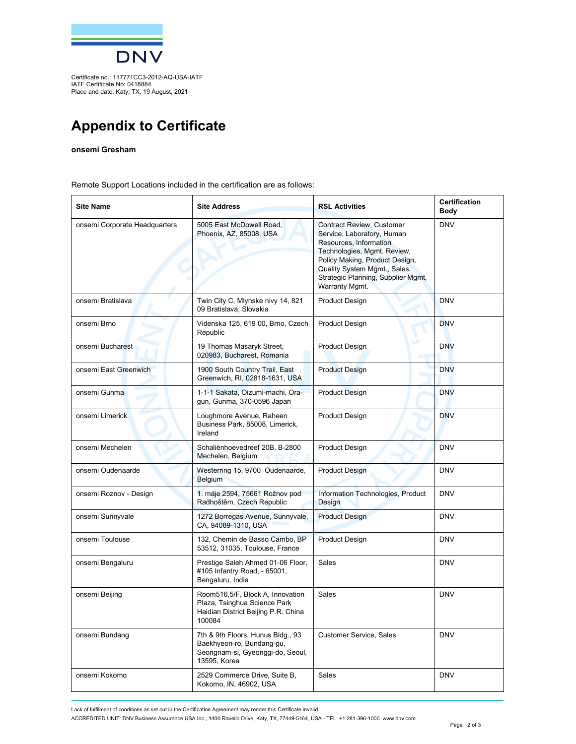

Certificate no.: 117771CC3-2012-AQ-USA-IATF IATF Certificate No: 0418884 Place and date: Katy, TX, 19 August, 2021

## Appendix to Certificate

#### onsemi Gresham

Remote Support Locations included in the certification are as follows:

| <b>Site Name</b>              | <b>Site Address</b>                                                                                                | <b>RSL Activities</b>                                                                                                                                                                                                                      | <b>Certification</b><br>Body |
|-------------------------------|--------------------------------------------------------------------------------------------------------------------|--------------------------------------------------------------------------------------------------------------------------------------------------------------------------------------------------------------------------------------------|------------------------------|
| onsemi Corporate Headquarters | 5005 East McDowell Road,<br>Phoenix, AZ, 85008, USA                                                                | Contract Review, Customer<br>Service, Laboratory, Human<br>Resources, Information<br>Technologies, Mgmt. Review,<br>Policy Making, Product Design,<br>Quality System Mgmt., Sales,<br>Strategic Planning, Supplier Mgmt,<br>Warranty Mgmt. | <b>DNV</b>                   |
| onsemi Bratislava             | Twin City C, Mlynske nivy 14, 821<br>09 Bratislava, Slovakia                                                       | <b>Product Design</b>                                                                                                                                                                                                                      | <b>DNV</b>                   |
| onsemi Brno                   | Videnska 125, 619 00, Brno, Czech<br>Republic                                                                      | <b>Product Design</b>                                                                                                                                                                                                                      | <b>DNV</b>                   |
| onsemi Bucharest              | 19 Thomas Masaryk Street,<br>020983, Bucharest, Romania                                                            | <b>Product Design</b>                                                                                                                                                                                                                      | <b>DNV</b>                   |
| onsemi East Greenwich         | 1900 South Country Trail, East<br>Greenwich, RI, 02818-1631, USA                                                   | <b>Product Design</b>                                                                                                                                                                                                                      | <b>DNV</b>                   |
| onsemi Gunma                  | 1-1-1 Sakata, Oizumi-machi, Ora-<br>gun, Gunma, 370-0596 Japan                                                     | <b>Product Design</b>                                                                                                                                                                                                                      | <b>DNV</b>                   |
| onsemi Limerick               | Loughmore Avenue, Raheen<br>Business Park, 85008, Limerick,<br>Ireland                                             | <b>Product Design</b>                                                                                                                                                                                                                      | <b>DNV</b>                   |
| onsemi Mechelen               | Schaliënhoevedreef 20B, B-2800<br>Mechelen, Belgium                                                                | <b>Product Design</b>                                                                                                                                                                                                                      | <b>DNV</b>                   |
| onsemi Oudenaarde             | Westerring 15, 9700 Oudenaarde,<br>Belgium                                                                         | <b>Product Design</b>                                                                                                                                                                                                                      | <b>DNV</b>                   |
| onsemi Roznov - Design        | 1. máje 2594, 75661 Rožnov pod<br>Radhoštěm, Czech Republic                                                        | Information Technologies, Product<br>Design                                                                                                                                                                                                | <b>DNV</b>                   |
| onsemi Sunnyvale              | 1272 Borregas Avenue, Sunnyvale,<br>CA, 94089-1310, USA                                                            | <b>Product Design</b>                                                                                                                                                                                                                      | <b>DNV</b>                   |
| onsemi Toulouse               | 132, Chemin de Basso Cambo, BP<br>53512, 31035, Toulouse, France                                                   | <b>Product Design</b>                                                                                                                                                                                                                      | <b>DNV</b>                   |
| onsemi Bengaluru              | Prestige Saleh Ahmed 01-06 Floor,<br>#105 Infantry Road, - 65001,<br>Bengaluru, India                              | Sales                                                                                                                                                                                                                                      | <b>DNV</b>                   |
| onsemi Beijing                | Room516,5/F, Block A, Innovation<br>Plaza, Tsinghua Science Park<br>Haidian District Beijing P.R. China<br>100084  | Sales                                                                                                                                                                                                                                      | <b>DNV</b>                   |
| onsemi Bundang                | 7th & 9th Floors, Hunus Bldg., 93<br>Baekhyeon-ro, Bundang-gu,<br>Seongnam-si, Gyeonggi-do, Seoul,<br>13595, Korea | <b>Customer Service, Sales</b>                                                                                                                                                                                                             | <b>DNV</b>                   |
| onsemi Kokomo                 | 2529 Commerce Drive, Suite B,<br>Kokomo, IN, 46902, USA                                                            | Sales                                                                                                                                                                                                                                      | <b>DNV</b>                   |

Lack of fulfilment of conditions as set out in the Certification Agreement may render this Certificate invalid.

ACCREDITED UNIT: DNV Business Assurance USA Inc., 1400 Ravello Drive, Katy, TX, 77449-5164, USA - TEL: +1 281-396-1000. www.dnv.com